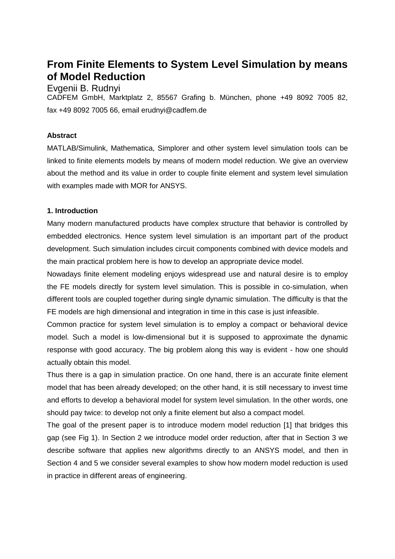# **From Finite Elements to System Level Simulation by means of Model Reduction**

## Evgenii B. Rudnyi

CADFEM GmbH, Marktplatz 2, 85567 Grafing b. München, phone +49 8092 7005 82, fax +49 8092 7005 66, email erudnyi@cadfem.de

### **Abstract**

MATLAB/Simulink, Mathematica, Simplorer and other system level simulation tools can be linked to finite elements models by means of modern model reduction. We give an overview about the method and its value in order to couple finite element and system level simulation with examples made with MOR for ANSYS.

### **1. Introduction**

Many modern manufactured products have complex structure that behavior is controlled by embedded electronics. Hence system level simulation is an important part of the product development. Such simulation includes circuit components combined with device models and the main practical problem here is how to develop an appropriate device model.

Nowadays finite element modeling enjoys widespread use and natural desire is to employ the FE models directly for system level simulation. This is possible in co-simulation, when different tools are coupled together during single dynamic simulation. The difficulty is that the FE models are high dimensional and integration in time in this case is just infeasible.

Common practice for system level simulation is to employ a compact or behavioral device model. Such a model is low-dimensional but it is supposed to approximate the dynamic response with good accuracy. The big problem along this way is evident - how one should actually obtain this model.

Thus there is a gap in simulation practice. On one hand, there is an accurate finite element model that has been already developed; on the other hand, it is still necessary to invest time and efforts to develop a behavioral model for system level simulation. In the other words, one should pay twice: to develop not only a finite element but also a compact model.

The goal of the present paper is to introduce modern model reduction [1] that bridges this gap (see Fig 1). In Section 2 we introduce model order reduction, after that in Section 3 we describe software that applies new algorithms directly to an ANSYS model, and then in Section 4 and 5 we consider several examples to show how modern model reduction is used in practice in different areas of engineering.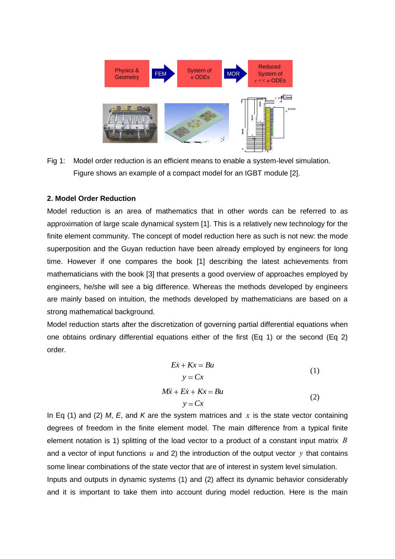

Fig 1: Model order reduction is an efficient means to enable a system-level simulation. Figure shows an example of a compact model for an IGBT module [2].

#### **2. Model Order Reduction**

Model reduction is an area of mathematics that in other words can be referred to as approximation of large scale dynamical system [1]. This is a relatively new technology for the finite element community. The concept of model reduction here as such is not new: the mode superposition and the Guyan reduction have been already employed by engineers for long time. However if one compares the book [1] describing the latest achievements from mathematicians with the book [3] that presents a good overview of approaches employed by engineers, he/she will see a big difference. Whereas the methods developed by engineers are mainly based on intuition, the methods developed by mathematicians are based on a strong mathematical background.

Model reduction starts after the discretization of governing partial differential equations when one obtains ordinary differential equations either of the first (Eq 1) or the second (Eq 2) order.

$$
Ex + Kx = Bu
$$
  
\n
$$
y = Cx
$$
  
\n
$$
M\ddot{x} + E\dot{x} + Kx = Bu
$$
  
\n
$$
y = Cx
$$
\n(1)  
\n(2)

In Eq (1) and (2) *M*, *E*, and *K* are the system matrices and *x* is the state vector containing degrees of freedom in the finite element model. The main difference from a typical finite element notation is 1) splitting of the load vector to a product of a constant input matrix *B* and a vector of input functions  $u$  and 2) the introduction of the output vector  $y$  that contains some linear combinations of the state vector that are of interest in system level simulation. Inputs and outputs in dynamic systems (1) and (2) affect its dynamic behavior considerably and it is important to take them into account during model reduction. Here is the main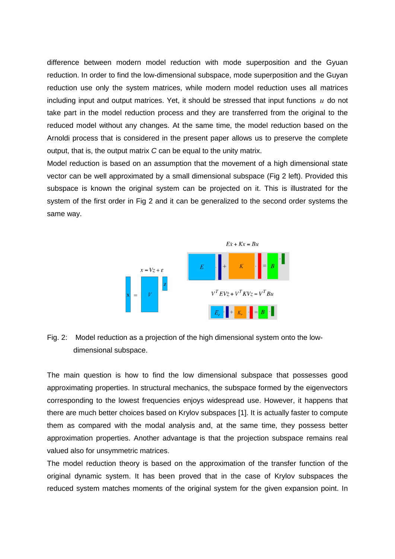difference between modern model reduction with mode superposition and the Gyuan reduction. In order to find the low-dimensional subspace, mode superposition and the Guyan reduction use only the system matrices, while modern model reduction uses all matrices including input and output matrices. Yet, it should be stressed that input functions *u* do not take part in the model reduction process and they are transferred from the original to the reduced model without any changes. At the same time, the model reduction based on the Arnoldi process that is considered in the present paper allows us to preserve the complete output, that is, the output matrix *C* can be equal to the unity matrix.

Model reduction is based on an assumption that the movement of a high dimensional state vector can be well approximated by a small dimensional subspace (Fig 2 left). Provided this subspace is known the original system can be projected on it. This is illustrated for the system of the first order in Fig 2 and it can be generalized to the second order systems the same way.



# Fig. 2: Model reduction as a projection of the high dimensional system onto the lowdimensional subspace.

The main question is how to find the low dimensional subspace that possesses good approximating properties. In structural mechanics, the subspace formed by the eigenvectors corresponding to the lowest frequencies enjoys widespread use. However, it happens that there are much better choices based on Krylov subspaces [1]. It is actually faster to compute them as compared with the modal analysis and, at the same time, they possess better approximation properties. Another advantage is that the projection subspace remains real valued also for unsymmetric matrices.

The model reduction theory is based on the approximation of the transfer function of the original dynamic system. It has been proved that in the case of Krylov subspaces the reduced system matches moments of the original system for the given expansion point. In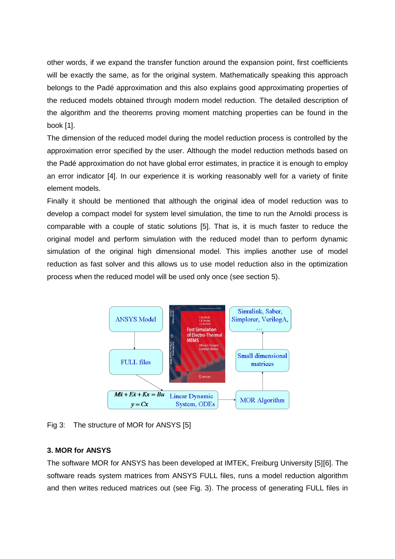other words, if we expand the transfer function around the expansion point, first coefficients will be exactly the same, as for the original system. Mathematically speaking this approach belongs to the Padé approximation and this also explains good approximating properties of the reduced models obtained through modern model reduction. The detailed description of the algorithm and the theorems proving moment matching properties can be found in the book [1].

The dimension of the reduced model during the model reduction process is controlled by the approximation error specified by the user. Although the model reduction methods based on the Padé approximation do not have global error estimates, in practice it is enough to employ an error indicator [4]. In our experience it is working reasonably well for a variety of finite element models.

Finally it should be mentioned that although the original idea of model reduction was to develop a compact model for system level simulation, the time to run the Arnoldi process is comparable with a couple of static solutions [5]. That is, it is much faster to reduce the original model and perform simulation with the reduced model than to perform dynamic simulation of the original high dimensional model. This implies another use of model reduction as fast solver and this allows us to use model reduction also in the optimization process when the reduced model will be used only once (see section 5).



Fig 3: The structure of MOR for ANSYS [5]

# **3. MOR for ANSYS**

The software MOR for ANSYS has been developed at IMTEK, Freiburg University [5][6]. The software reads system matrices from ANSYS FULL files, runs a model reduction algorithm and then writes reduced matrices out (see Fig. 3). The process of generating FULL files in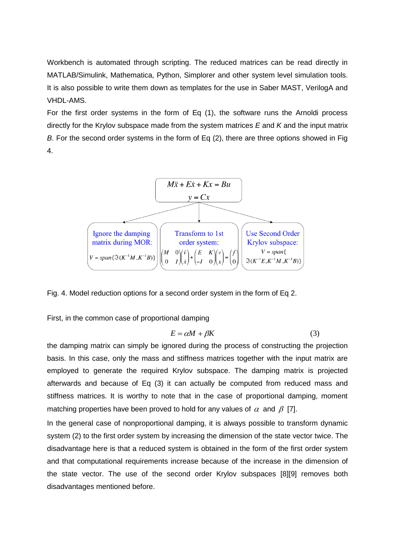Workbench is automated through scripting. The reduced matrices can be read directly in MATLAB/Simulink, Mathematica, Python, Simplorer and other system level simulation tools. It is also possible to write them down as templates for the use in Saber MAST, VerilogA and VHDL-AMS.

For the first order systems in the form of Eq (1), the software runs the Arnoldi process directly for the Krylov subspace made from the system matrices *E* and *K* and the input matrix *B*. For the second order systems in the form of Eq (2), there are three options showed in Fig 4.



Fig. 4. Model reduction options for a second order system in the form of Eq 2.

First, in the common case of proportional damping

$$
E = \alpha M + \beta K \tag{3}
$$

the damping matrix can simply be ignored during the process of constructing the projection basis. In this case, only the mass and stiffness matrices together with the input matrix are employed to generate the required Krylov subspace. The damping matrix is projected afterwards and because of Eq (3) it can actually be computed from reduced mass and stiffness matrices. It is worthy to note that in the case of proportional damping, moment matching properties have been proved to hold for any values of  $\alpha$  and  $\beta$  [7].

In the general case of nonproportional damping, it is always possible to transform dynamic system (2) to the first order system by increasing the dimension of the state vector twice. The disadvantage here is that a reduced system is obtained in the form of the first order system and that computational requirements increase because of the increase in the dimension of the state vector. The use of the second order Krylov subspaces [8][9] removes both disadvantages mentioned before.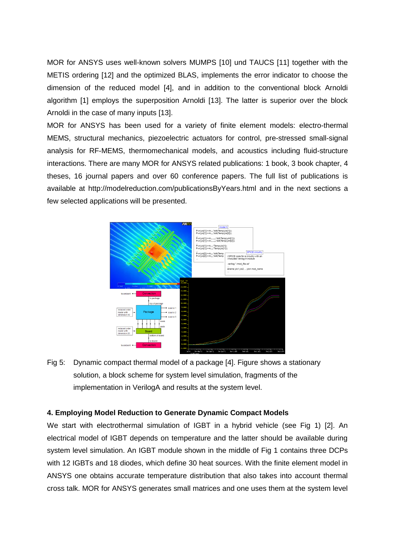MOR for ANSYS uses well-known solvers MUMPS [10] und TAUCS [11] together with the METIS ordering [12] and the optimized BLAS, implements the error indicator to choose the dimension of the reduced model [4], and in addition to the conventional block Arnoldi algorithm [1] employs the superposition Arnoldi [13]. The latter is superior over the block Arnoldi in the case of many inputs [13].

MOR for ANSYS has been used for a variety of finite element models: electro-thermal MEMS, structural mechanics, piezoelectric actuators for control, pre-stressed small-signal analysis for RF-MEMS, thermomechanical models, and acoustics including fluid-structure interactions. There are many MOR for ANSYS related publications: 1 book, 3 book chapter, 4 theses, 16 journal papers and over 60 conference papers. The full list of publications is available at http://modelreduction.com/publicationsByYears.html and in the next sections a few selected applications will be presented.



Fig 5: Dynamic compact thermal model of a package [4]. Figure shows a stationary solution, a block scheme for system level simulation, fragments of the implementation in VerilogA and results at the system level.

### **4. Employing Model Reduction to Generate Dynamic Compact Models**

We start with electrothermal simulation of IGBT in a hybrid vehicle (see Fig 1) [2]. An electrical model of IGBT depends on temperature and the latter should be available during system level simulation. An IGBT module shown in the middle of Fig 1 contains three DCPs with 12 IGBTs and 18 diodes, which define 30 heat sources. With the finite element model in ANSYS one obtains accurate temperature distribution that also takes into account thermal cross talk. MOR for ANSYS generates small matrices and one uses them at the system level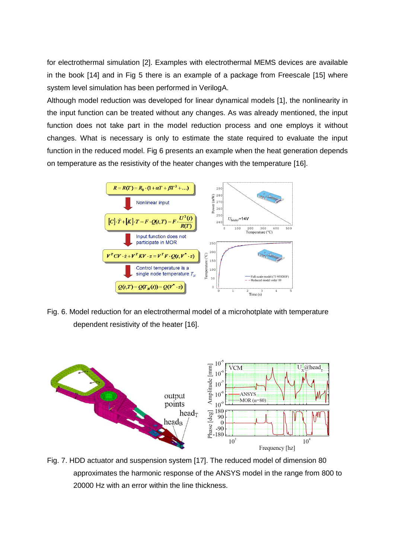for electrothermal simulation [2]. Examples with electrothermal MEMS devices are available in the book [14] and in Fig 5 there is an example of a package from Freescale [15] where system level simulation has been performed in VerilogA.

Although model reduction was developed for linear dynamical models [1], the nonlinearity in the input function can be treated without any changes. As was already mentioned, the input function does not take part in the model reduction process and one employs it without changes. What is necessary is only to estimate the state required to evaluate the input function in the reduced model. Fig 6 presents an example when the heat generation depends on temperature as the resistivity of the heater changes with the temperature [16].



Fig. 6. Model reduction for an electrothermal model of a microhotplate with temperature dependent resistivity of the heater [16].



Fig. 7. HDD actuator and suspension system [17]. The reduced model of dimension 80 approximates the harmonic response of the ANSYS model in the range from 800 to 20000 Hz with an error within the line thickness.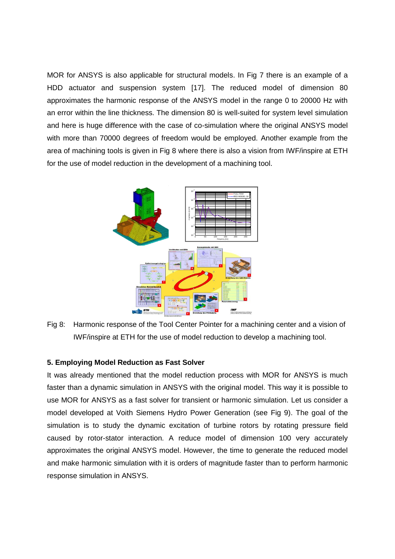MOR for ANSYS is also applicable for structural models. In Fig 7 there is an example of a HDD actuator and suspension system [17]. The reduced model of dimension 80 approximates the harmonic response of the ANSYS model in the range 0 to 20000 Hz with an error within the line thickness. The dimension 80 is well-suited for system level simulation and here is huge difference with the case of co-simulation where the original ANSYS model with more than 70000 degrees of freedom would be employed. Another example from the area of machining tools is given in Fig 8 where there is also a vision from IWF/inspire at ETH for the use of model reduction in the development of a machining tool.



Fig 8: Harmonic response of the Tool Center Pointer for a machining center and a vision of IWF/inspire at ETH for the use of model reduction to develop a machining tool.

### **5. Employing Model Reduction as Fast Solver**

It was already mentioned that the model reduction process with MOR for ANSYS is much faster than a dynamic simulation in ANSYS with the original model. This way it is possible to use MOR for ANSYS as a fast solver for transient or harmonic simulation. Let us consider a model developed at Voith Siemens Hydro Power Generation (see Fig 9). The goal of the simulation is to study the dynamic excitation of turbine rotors by rotating pressure field caused by rotor-stator interaction. A reduce model of dimension 100 very accurately approximates the original ANSYS model. However, the time to generate the reduced model and make harmonic simulation with it is orders of magnitude faster than to perform harmonic response simulation in ANSYS.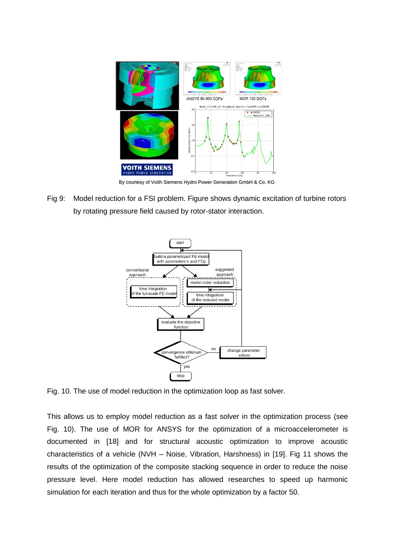

By courtesy of Voith Siemens Hydro Power Generation GmbH & Co. KG

Fig 9: Model reduction for a FSI problem. Figure shows dynamic excitation of turbine rotors by rotating pressure field caused by rotor-stator interaction.



Fig. 10. The use of model reduction in the optimization loop as fast solver.

This allows us to employ model reduction as a fast solver in the optimization process (see Fig. 10). The use of MOR for ANSYS for the optimization of a microaccelerometer is documented in [18] and for structural acoustic optimization to improve acoustic characteristics of a vehicle (NVH – Noise, Vibration, Harshness) in [19]. Fig 11 shows the results of the optimization of the composite stacking sequence in order to reduce the noise pressure level. Here model reduction has allowed researches to speed up harmonic simulation for each iteration and thus for the whole optimization by a factor 50.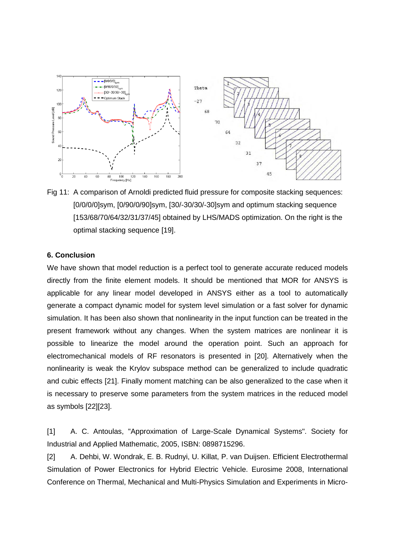

Fig 11: A comparison of Arnoldi predicted fluid pressure for composite stacking sequences: [0/0/0/0]sym, [0/90/0/90]sym, [30/-30/30/-30]sym and optimum stacking sequence [153/68/70/64/32/31/37/45] obtained by LHS/MADS optimization. On the right is the optimal stacking sequence [19].

### **6. Conclusion**

We have shown that model reduction is a perfect tool to generate accurate reduced models directly from the finite element models. It should be mentioned that MOR for ANSYS is applicable for any linear model developed in ANSYS either as a tool to automatically generate a compact dynamic model for system level simulation or a fast solver for dynamic simulation. It has been also shown that nonlinearity in the input function can be treated in the present framework without any changes. When the system matrices are nonlinear it is possible to linearize the model around the operation point. Such an approach for electromechanical models of RF resonators is presented in [20]. Alternatively when the nonlinearity is weak the Krylov subspace method can be generalized to include quadratic and cubic effects [21]. Finally moment matching can be also generalized to the case when it is necessary to preserve some parameters from the system matrices in the reduced model as symbols [22][23].

[1] A. C. Antoulas, "Approximation of Large-Scale Dynamical Systems". Society for Industrial and Applied Mathematic, 2005, ISBN: 0898715296.

[2] A. Dehbi, W. Wondrak, E. B. Rudnyi, U. Killat, P. van Duijsen. Efficient Electrothermal Simulation of Power Electronics for Hybrid Electric Vehicle. Eurosime 2008, International Conference on Thermal, Mechanical and Multi-Physics Simulation and Experiments in Micro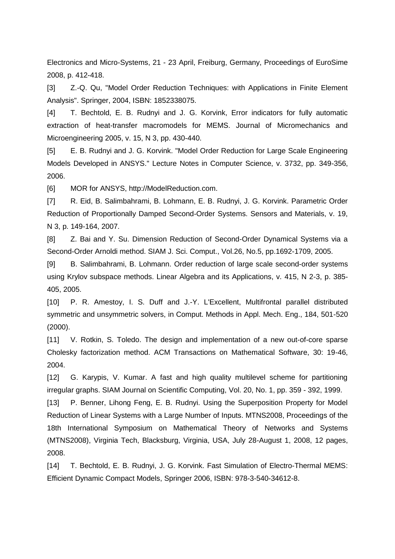Electronics and Micro-Systems, 21 - 23 April, Freiburg, Germany, Proceedings of EuroSime 2008, p. 412-418.

[3] Z.-Q. Qu, "Model Order Reduction Techniques: with Applications in Finite Element Analysis". Springer, 2004, ISBN: 1852338075.

[4] T. Bechtold, E. B. Rudnyi and J. G. Korvink, Error indicators for fully automatic extraction of heat-transfer macromodels for MEMS. Journal of Micromechanics and Microengineering 2005, v. 15, N 3, pp. 430-440.

[5] E. B. Rudnyi and J. G. Korvink. "Model Order Reduction for Large Scale Engineering Models Developed in ANSYS." Lecture Notes in Computer Science, v. 3732, pp. 349-356, 2006.

[6] MOR for ANSYS, http://ModelReduction.com.

[7] R. Eid, B. Salimbahrami, B. Lohmann, E. B. Rudnyi, J. G. Korvink. Parametric Order Reduction of Proportionally Damped Second-Order Systems. Sensors and Materials, v. 19, N 3, p. 149-164, 2007.

[8] Z. Bai and Y. Su. Dimension Reduction of Second-Order Dynamical Systems via a Second-Order Arnoldi method. SIAM J. Sci. Comput., Vol.26, No.5, pp.1692-1709, 2005.

[9] B. Salimbahrami, B. Lohmann. Order reduction of large scale second-order systems using Krylov subspace methods. Linear Algebra and its Applications, v. 415, N 2-3, p. 385- 405, 2005.

[10] P. R. Amestoy, I. S. Duff and J.-Y. L'Excellent, Multifrontal parallel distributed symmetric and unsymmetric solvers, in Comput. Methods in Appl. Mech. Eng., 184, 501-520 (2000).

[11] V. Rotkin, S. Toledo. The design and implementation of a new out-of-core sparse Cholesky factorization method. ACM Transactions on Mathematical Software, 30: 19-46, 2004.

[12] G. Karypis, V. Kumar. A fast and high quality multilevel scheme for partitioning irregular graphs. SIAM Journal on Scientific Computing, Vol. 20, No. 1, pp. 359 - 392, 1999.

[13] P. Benner, Lihong Feng, E. B. Rudnyi. Using the Superposition Property for Model Reduction of Linear Systems with a Large Number of Inputs. MTNS2008, Proceedings of the 18th International Symposium on Mathematical Theory of Networks and Systems (MTNS2008), Virginia Tech, Blacksburg, Virginia, USA, July 28-August 1, 2008, 12 pages, 2008.

[14] T. Bechtold, E. B. Rudnyi, J. G. Korvink. Fast Simulation of Electro-Thermal MEMS: Efficient Dynamic Compact Models, Springer 2006, ISBN: 978-3-540-34612-8.